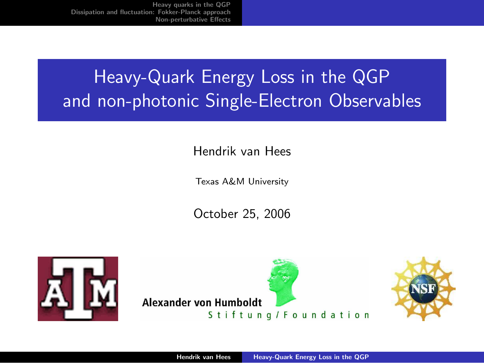# Heavy-Quark Energy Loss in the QGP and non-photonic Single-Electron Observables

#### Hendrik van Hees

Texas A&M University

October 25, 2006





<span id="page-0-0"></span>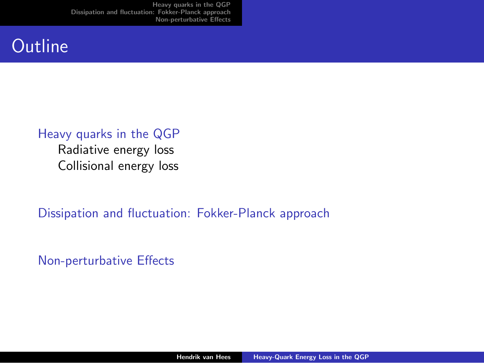### **Outline**

#### [Heavy quarks in the QGP](#page-4-0)

[Radiative energy loss](#page-5-0) [Collisional energy loss](#page-7-0)

[Dissipation and fluctuation: Fokker-Planck approach](#page-10-0)

[Non-perturbative Effects](#page-18-0)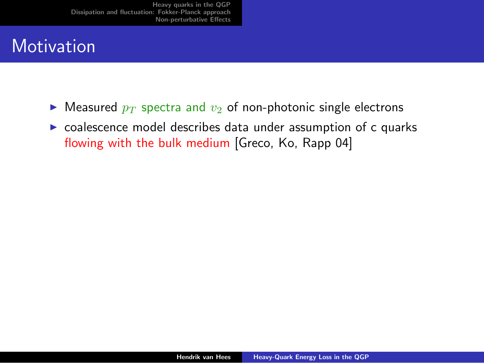## **Motivation**

- $\triangleright$  Measured  $p_T$  spectra and  $v_2$  of non-photonic single electrons
- $\triangleright$  coalescence model describes data under assumption of c quarks flowing with the bulk medium [Greco, Ko, Rapp 04]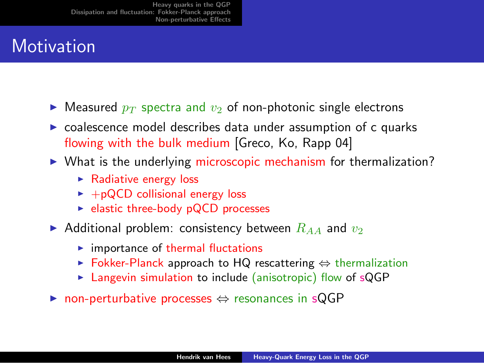## **Motivation**

- $\blacktriangleright$  Measured  $p_T$  spectra and  $v_2$  of non-photonic single electrons
- $\triangleright$  coalescence model describes data under assumption of c quarks flowing with the bulk medium [Greco, Ko, Rapp 04]
- $\triangleright$  What is the underlying microscopic mechanism for thermalization?
	- $\blacktriangleright$  Radiative energy loss
	- $\blacktriangleright$  +pQCD collisional energy loss
	- $\blacktriangleright$  elastic three-body pQCD processes
- Additional problem: consistency between  $R_{AA}$  and  $v_2$ 
	- $\blacktriangleright$  importance of thermal fluctations
	- ► Fokker-Planck approach to HQ rescattering  $\Leftrightarrow$  thermalization
	- $\triangleright$  Langevin simulation to include (anisotropic) flow of sQGP
- **► non-perturbative processes**  $\Leftrightarrow$  **resonances in sQGP**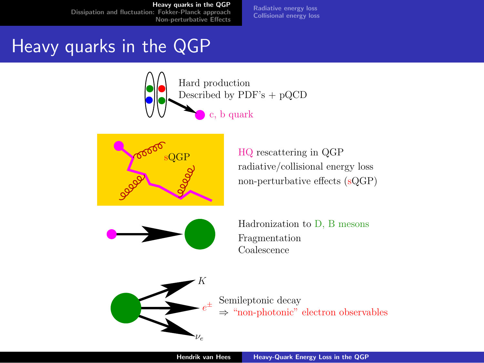[Radiative energy loss](#page-5-0) [Collisional energy loss](#page-7-0)

## Heavy quarks in the QGP





<span id="page-4-0"></span>HQ rescattering in QGP radiative/collisional energy loss non-perturbative effects (sQGP)



Hadronization to D, B mesons Coalescence Fragmentation



Semileptonic decay ⇒ "non-photonic" electron observables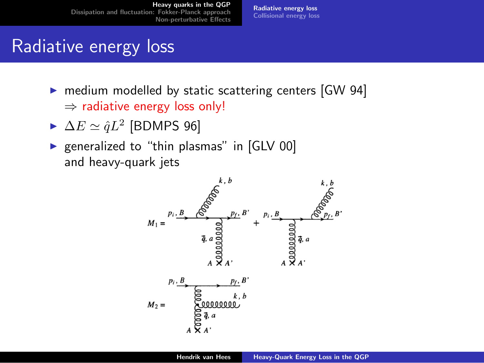[Radiative energy loss](#page-5-0) [Collisional energy loss](#page-7-0)

## Radiative energy loss

- $\triangleright$  medium modelled by static scattering centers [GW 94]  $\Rightarrow$  radiative energy loss only!
- $\blacktriangleright$   $\Delta E \simeq \hat{q}L^2$  [BDMPS 96]
- $\triangleright$  generalized to "thin plasmas" in [GLV 00] and heavy-quark jets

<span id="page-5-0"></span>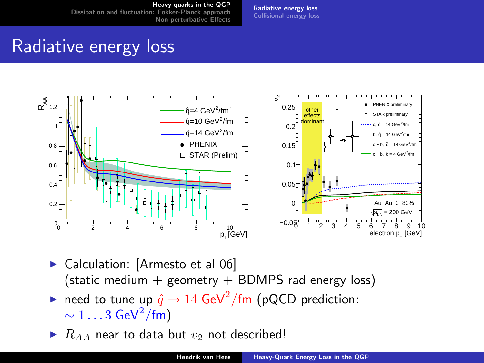[Radiative energy loss](#page-5-0) [Collisional energy loss](#page-7-0)

## Radiative energy loss



- ▶ Calculation: [Armesto et al 06] (static medium  $+$  geometry  $+$  BDMPS rad energy loss)
- ► need to tune up  $\hat{q} \to 14$  GeV<sup>2</sup>/fm (pQCD prediction:  $\sim 1 \ldots 3\; \mathsf{GeV}^2/\mathsf{fm})$
- $\blacktriangleright$   $R_{AA}$  near to data but  $v_2$  not described!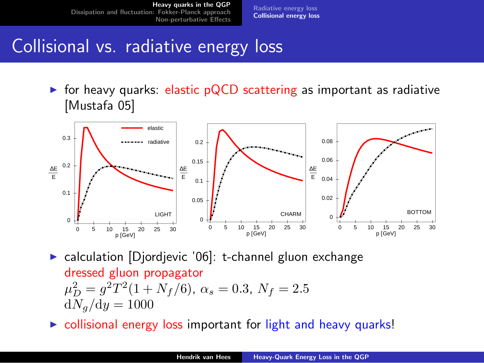[Radiative energy loss](#page-5-0) [Collisional energy loss](#page-7-0)

## Collisional vs. radiative energy loss

 $\triangleright$  for heavy quarks: elastic pQCD scattering as important as radiative [Mustafa 05]



 $\triangleright$  calculation [Djordjevic '06]: t-channel gluon exchange dressed gluon propagator  $\mu_D^2 = g^2 T^2 (1 + N_f/6)$ ,  $\alpha_s = 0.3$ ,  $N_f = 2.5$  $dN_a/dy = 1000$ 

<span id="page-7-0"></span> $\triangleright$  collisional energy loss important for light and heavy quarks!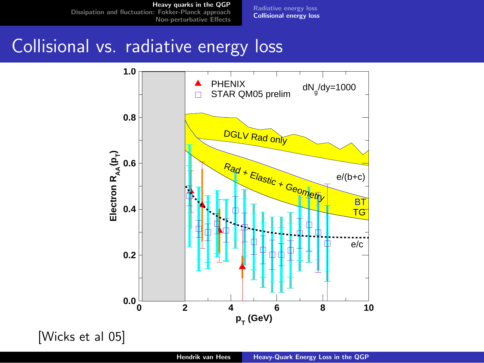[Heavy quarks in the QGP](#page-4-0)

[Dissipation and fluctuation: Fokker-Planck approach](#page-10-0) [Non-perturbative Effects](#page-18-0) [Radiative energy loss](#page-5-0) [Collisional energy loss](#page-7-0)

## Collisional vs. radiative energy loss



[Wicks et al 05]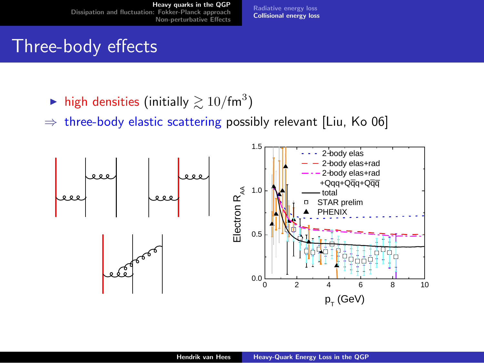[Radiative energy loss](#page-5-0) [Collisional energy loss](#page-7-0)

#### Three-body effects

- $\blacktriangleright$  high densities (initially  $\gtrsim 10/\text{fm}^3$ )
- $\Rightarrow$  three-body elastic scattering possibly relevant [Liu, Ko 06]

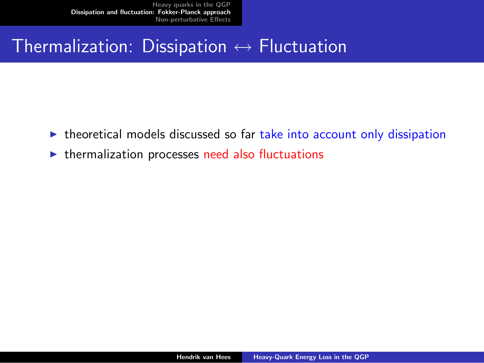#### Thermalization: Dissipation  $\leftrightarrow$  Fluctuation

- $\triangleright$  theoretical models discussed so far take into account only dissipation
- <span id="page-10-0"></span> $\triangleright$  thermalization processes need also fluctuations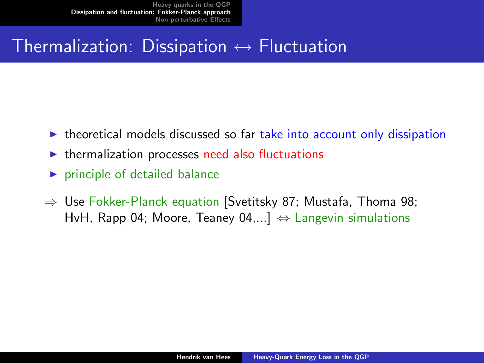### Thermalization: Dissipation  $\leftrightarrow$  Fluctuation

- $\triangleright$  theoretical models discussed so far take into account only dissipation
- $\triangleright$  thermalization processes need also fluctuations
- $\blacktriangleright$  principle of detailed balance
- $\Rightarrow$  Use Fokker-Planck equation [Svetitsky 87; Mustafa, Thoma 98; HvH, Rapp 04; Moore, Teaney 04,...]  $\Leftrightarrow$  Langevin simulations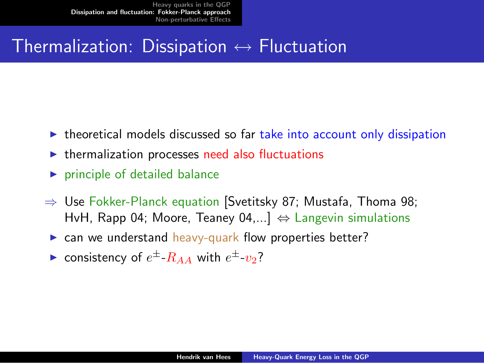### Thermalization: Dissipation  $\leftrightarrow$  Fluctuation

- $\triangleright$  theoretical models discussed so far take into account only dissipation
- $\triangleright$  thermalization processes need also fluctuations
- $\triangleright$  principle of detailed balance
- $\Rightarrow$  Use Fokker-Planck equation [Svetitsky 87; Mustafa, Thoma 98; HvH, Rapp 04; Moore, Teaney 04,...]  $\Leftrightarrow$  Langevin simulations
	- $\triangleright$  can we understand heavy-quark flow properties better?
	- consistency of  $e^{\pm}$ - $R_{AA}$  with  $e^{\pm}$ - $v_2$ ?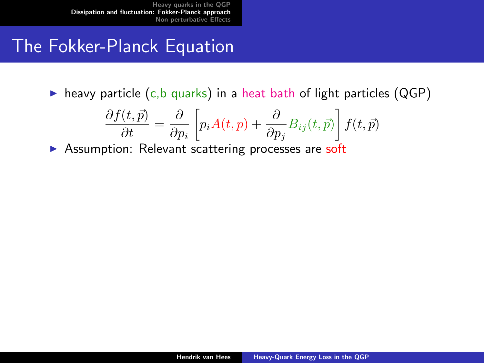## The Fokker-Planck Equation

 $\triangleright$  heavy particle (c,b quarks) in a heat bath of light particles (QGP)

$$
\frac{\partial f(t,\vec{p})}{\partial t} = \frac{\partial}{\partial p_i} \left[ p_i A(t,p) + \frac{\partial}{\partial p_j} B_{ij}(t,\vec{p}) \right] f(t,\vec{p})
$$

 $\triangleright$  Assumption: Relevant scattering processes are soft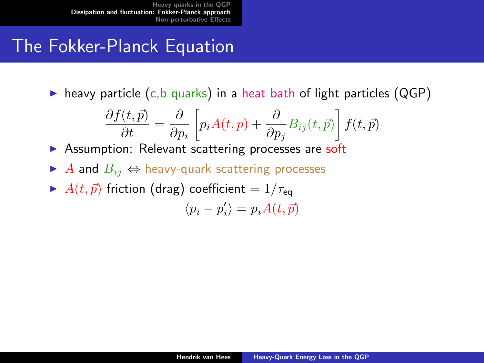## The Fokker-Planck Equation

 $\triangleright$  heavy particle (c,b quarks) in a heat bath of light particles (QGP)

$$
\frac{\partial f(t,\vec{p})}{\partial t} = \frac{\partial}{\partial p_i} \left[ p_i A(t,p) + \frac{\partial}{\partial p_j} B_{ij}(t,\vec{p}) \right] f(t,\vec{p})
$$

 $\triangleright$  Assumption: Relevant scattering processes are soft

- $\triangleright$  A and  $B_{ij} \Leftrightarrow$  heavy-quark scattering processes
- $\blacktriangleright$   $A(t, \vec{p})$  friction (drag) coefficient =  $1/\tau_{eq}$  $\langle p_i - p'_i \rangle = p_i A(t, \vec{p})$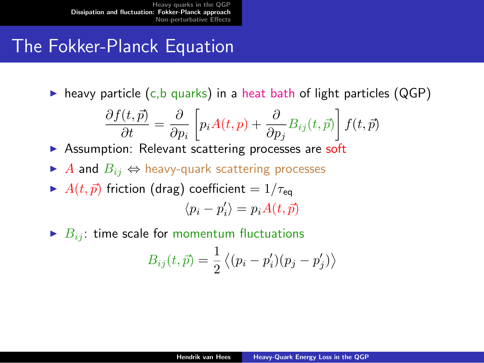## The Fokker-Planck Equation

 $\triangleright$  heavy particle (c,b quarks) in a heat bath of light particles (QGP)

$$
\frac{\partial f(t,\vec{p})}{\partial t} = \frac{\partial}{\partial p_i} \left[ p_i A(t,p) + \frac{\partial}{\partial p_j} B_{ij}(t,\vec{p}) \right] f(t,\vec{p})
$$

 $\triangleright$  Assumption: Relevant scattering processes are soft

- $\triangleright$  A and  $B_{ij} \Leftrightarrow$  heavy-quark scattering processes
- $\blacktriangleright$   $A(t, \vec{p})$  friction (drag) coefficient =  $1/\tau_{eq}$  $\langle p_i - p'_i \rangle = p_i A(t, \vec{p})$
- $\blacktriangleright$   $B_{ij}$ : time scale for momentum fluctuations

$$
B_{ij}(t, \vec{p}) = \frac{1}{2} \langle (p_i - p'_i)(p_j - p'_j) \rangle
$$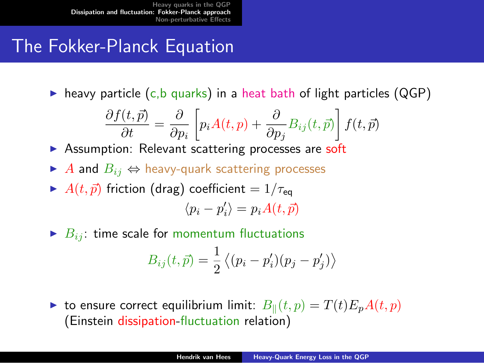## The Fokker-Planck Equation

 $\triangleright$  heavy particle (c,b quarks) in a heat bath of light particles (QGP)

$$
\frac{\partial f(t,\vec{p})}{\partial t} = \frac{\partial}{\partial p_i} \left[ p_i A(t,p) + \frac{\partial}{\partial p_j} B_{ij}(t,\vec{p}) \right] f(t,\vec{p})
$$

 $\triangleright$  Assumption: Relevant scattering processes are soft

- $\triangleright$  A and  $B_{ij} \Leftrightarrow$  heavy-quark scattering processes
- $\blacktriangleright$   $A(t, \vec{p})$  friction (drag) coefficient =  $1/\tau_{eq}$  $\langle p_i - p'_i \rangle = p_i A(t, \vec{p})$
- $\blacktriangleright$   $B_{ij}$ : time scale for momentum fluctuations

$$
B_{ij}(t, \vec{p}) = \frac{1}{2} \langle (p_i - p'_i)(p_j - p'_j) \rangle
$$

ight to ensure correct equilibrium limit:  $B_{\parallel}(t, p) = T(t)E_pA(t, p)$ (Einstein dissipation-fluctuation relation)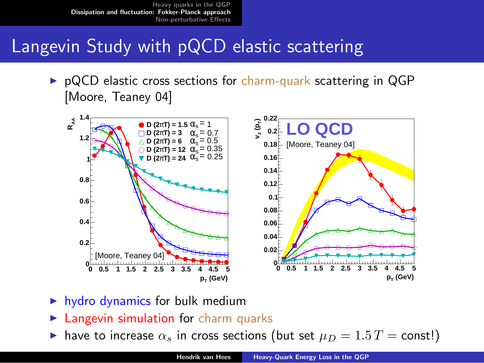## Langevin Study with pQCD elastic scattering

 $\triangleright$  pQCD elastic cross sections for charm-quark scattering in QGP [Moore, Teaney 04]



- $\blacktriangleright$  hydro dynamics for bulk medium
- $\blacktriangleright$  Langevin simulation for charm quarks
- In have to increase  $\alpha_s$  in cross sections (but set  $\mu_D = 1.5$  T = const!)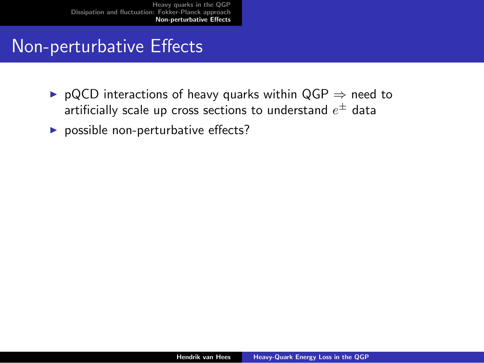### Non-perturbative Effects

- ▶ pQCD interactions of heavy quarks within QGP  $\Rightarrow$  need to artificially scale up cross sections to understand  $e^\pm$  data
- <span id="page-18-0"></span> $\triangleright$  possible non-perturbative effects?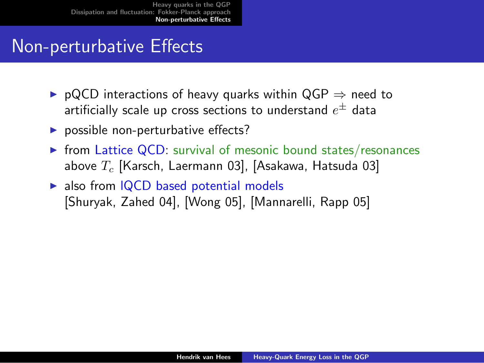#### Non-perturbative Effects

- $\triangleright$  pQCD interactions of heavy quarks within QGP  $\Rightarrow$  need to artificially scale up cross sections to understand  $e^\pm$  data
- $\triangleright$  possible non-perturbative effects?
- $\triangleright$  from Lattice QCD: survival of mesonic bound states/resonances above  $T_c$  [Karsch, Laermann 03], [Asakawa, Hatsuda 03]
- $\triangleright$  also from IQCD based potential models [Shuryak, Zahed 04], [Wong 05], [Mannarelli, Rapp 05]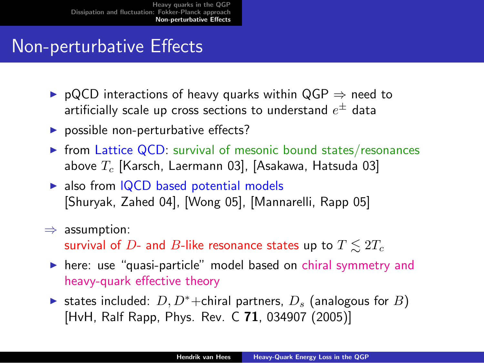## Non-perturbative Effects

- $\triangleright$  pQCD interactions of heavy quarks within QGP  $\Rightarrow$  need to artificially scale up cross sections to understand  $e^\pm$  data
- $\triangleright$  possible non-perturbative effects?
- $\triangleright$  from Lattice QCD: survival of mesonic bound states/resonances above  $T_c$  [Karsch, Laermann 03], [Asakawa, Hatsuda 03]
- $\triangleright$  also from IQCD based potential models [Shuryak, Zahed 04], [Wong 05], [Mannarelli, Rapp 05]
- $\Rightarrow$  assumption:

survival of D- and B-like resonance states up to  $T \leq 2T_c$ 

- $\triangleright$  here: use "quasi-particle" model based on chiral symmetry and heavy-quark effective theory
- $\triangleright$  states included:  $D, D^*$ +chiral partners,  $D_s$  (analogous for B) [HvH, Ralf Rapp, Phys. Rev. C 71, 034907 (2005)]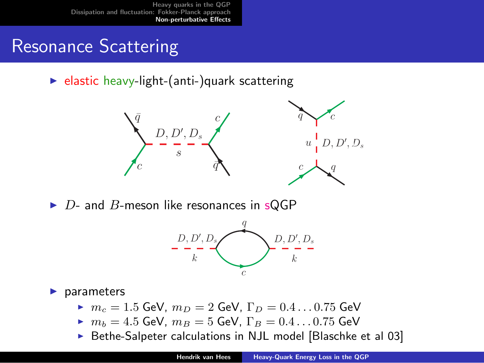## Resonance Scattering

 $\blacktriangleright$  elastic heavy-light-(anti-)quark scattering



 $\triangleright$  D- and B-meson like resonances in sQGP



 $\blacktriangleright$  parameters

- $m_c = 1.5$  GeV,  $m_D = 2$  GeV,  $\Gamma_D = 0.4 \dots 0.75$  GeV
- $\triangleright$   $m_b = 4.5$  GeV,  $m_B = 5$  GeV,  $\Gamma_B = 0.4 \dots 0.75$  GeV
- Bethe-Salpeter calculations in NJL model [Blaschke et al 03]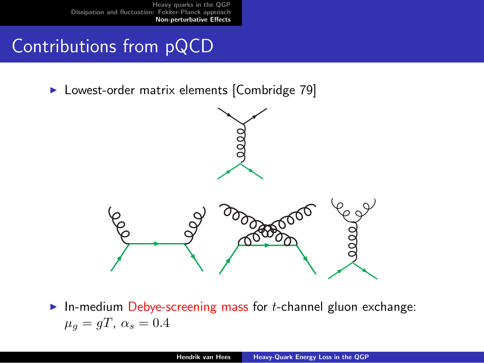## Contributions from pQCD

▶ Lowest-order matrix elements [Combridge 79]



 $\triangleright$  In-medium Debye-screening mass for *t*-channel gluon exchange:  $\mu_q = qT, \ \alpha_s = 0.4$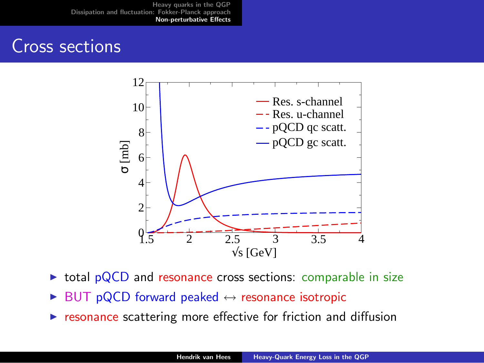#### Cross sections



- $\triangleright$  total pQCD and resonance cross sections: comparable in size
- $\triangleright$  BUT pQCD forward peaked  $\leftrightarrow$  resonance isotropic
- $\triangleright$  resonance scattering more effective for friction and diffusion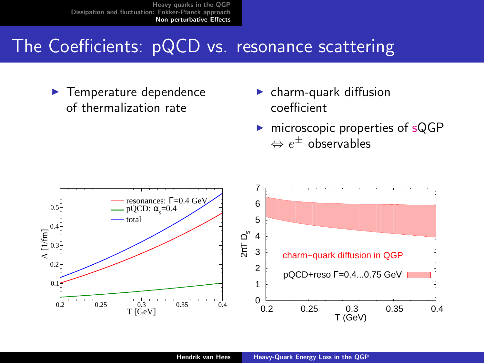## The Coefficients: pQCD vs. resonance scattering

 $\blacktriangleright$  Temperature dependence of thermalization rate

- $\blacktriangleright$  charm-quark diffusion coefficient
- $\triangleright$  microscopic properties of sQGP  $\Leftrightarrow e^\pm$  observables

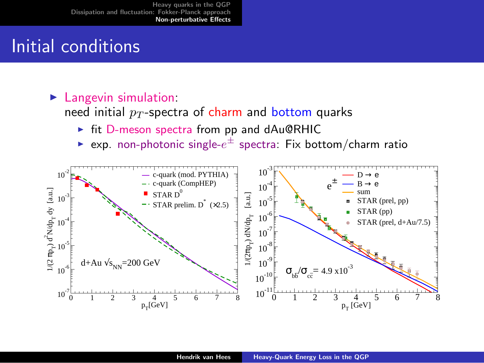## Initial conditions

#### $\blacktriangleright$  Langevin simulation:

need initial  $p_T$ -spectra of charm and bottom quarks

- $\triangleright$  fit D-meson spectra from pp and dAu@RHIC
- $\blacktriangleright$  exp. non-photonic single- $e^\pm$  spectra: Fix bottom/charm ratio

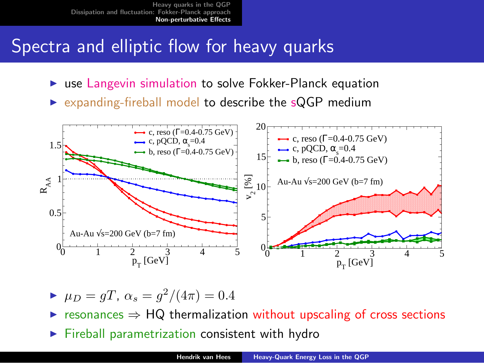### Spectra and elliptic flow for heavy quarks

- $\triangleright$  use Langevin simulation to solve Fokker-Planck equation
- $\triangleright$  expanding-fireball model to describe the sQGP medium



$$
\blacktriangleright \mu_D = gT, \ \alpha_s = g^2/(4\pi) = 0.4
$$

 $\triangleright$  resonances  $\Rightarrow$  HQ thermalization without upscaling of cross sections

 $\blacktriangleright$  Fireball parametrization consistent with hydro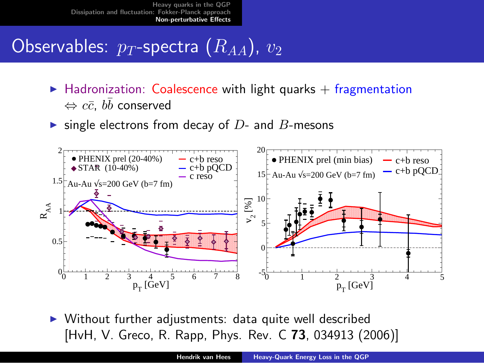# Observables:  $p_T$ -spectra  $(R_{AA})$ ,  $v_2$

- $\blacktriangleright$  Hadronization: Coalescence with light quarks + fragmentation  $\Leftrightarrow c\bar{c},~b\bar{b}$  conserved
- ighthrow single electrons from decay of  $D$  and  $B$ -mesons



 $\triangleright$  Without further adjustments: data quite well described [HvH, V. Greco, R. Rapp, Phys. Rev. C 73, 034913 (2006)]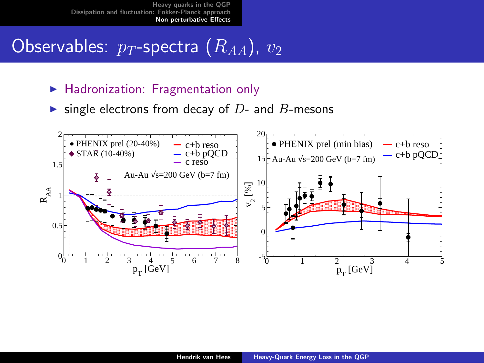# Observables:  $p_T$ -spectra  $(\overline{R}_{AA})$ ,  $v_2$

- $\blacktriangleright$  Hadronization: Fragmentation only
- ighthrow single electrons from decay of  $D$  and  $B$ -mesons

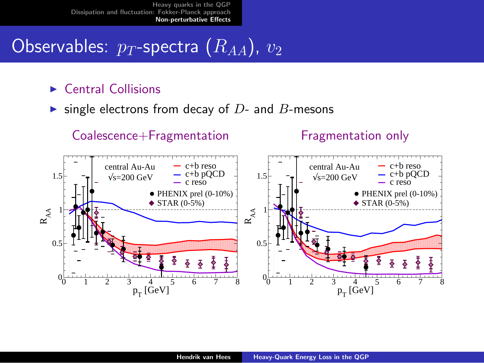# Observables:  $p_T$ -spectra  $(\overline{R}_{AA})$ ,  $v_2$

#### $\blacktriangleright$  Central Collisions

ighthrow single electrons from decay of  $D$ - and  $B$ -mesons

#### Coalescence+Fragmentation

Fragmentation only

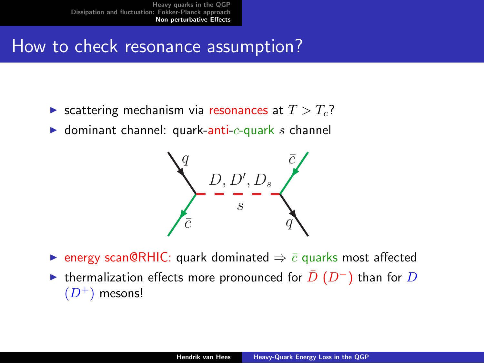## How to check resonance assumption?

- Scattering mechanism via resonances at  $T > T_c$ ?
- $\blacktriangleright$  dominant channel: quark-anti-c-quark s channel



 $\triangleright$  energy scan@RHIC: quark dominated  $\Rightarrow$   $\bar{c}$  quarks most affected  $\triangleright$  thermalization effects more pronounced for  $\overline{D}$  (D<sup>-</sup>) than for D  $(D^+)$  mesons!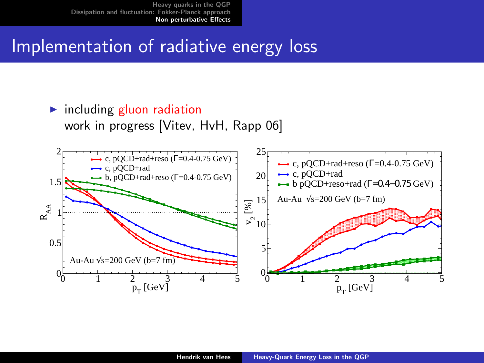#### Implementation of radiative energy loss

#### $\blacktriangleright$  including gluon radiation work in progress [Vitev, HvH, Rapp 06]

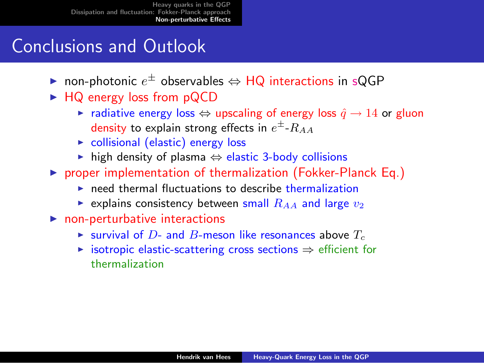## Conclusions and Outlook

- ► non-photonic  $e^{\pm}$  observables  $\Leftrightarrow$  HQ interactions in sQGP
- $\blacktriangleright$  HQ energy loss from pQCD
	- $\triangleright$  radiative energy loss  $\Leftrightarrow$  upscaling of energy loss  $\hat{q} \rightarrow 14$  or gluon density to explain strong effects in  $e^\pm$ - $R_{AA}$
	- $\triangleright$  collisional (elastic) energy loss
	- $\triangleright$  high density of plasma  $\Leftrightarrow$  elastic 3-body collisions
- $\triangleright$  proper implementation of thermalization (Fokker-Planck Eq.)
	- $\triangleright$  need thermal fluctuations to describe thermalization
	- Explains consistency between small  $R_{AA}$  and large  $v_2$
- $\blacktriangleright$  non-perturbative interactions
	- $\triangleright$  survival of D- and B-meson like resonances above  $T_c$
	- $\triangleright$  isotropic elastic-scattering cross sections  $\Rightarrow$  efficient for thermalization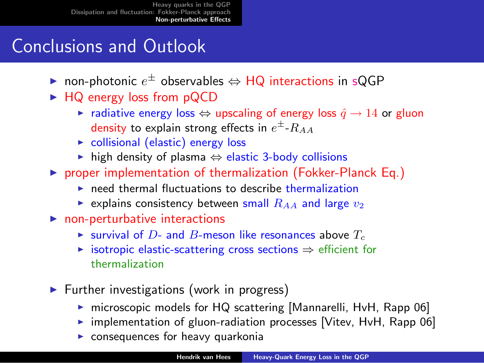## Conclusions and Outlook

- ► non-photonic  $e^{\pm}$  observables  $\Leftrightarrow$  HQ interactions in sQGP
- $\blacktriangleright$  HQ energy loss from pQCD
	- $\triangleright$  radiative energy loss  $\Leftrightarrow$  upscaling of energy loss  $\hat{q} \rightarrow 14$  or gluon density to explain strong effects in  $e^\pm$ - $R_{AA}$
	- $\triangleright$  collisional (elastic) energy loss
	- $\triangleright$  high density of plasma  $\Leftrightarrow$  elastic 3-body collisions
- $\triangleright$  proper implementation of thermalization (Fokker-Planck Eq.)
	- $\triangleright$  need thermal fluctuations to describe thermalization
	- Explains consistency between small  $R_{AA}$  and large  $v_2$
- $\blacktriangleright$  non-perturbative interactions
	- $\triangleright$  survival of D- and B-meson like resonances above  $T_c$
	- $\triangleright$  isotropic elastic-scattering cross sections  $\Rightarrow$  efficient for thermalization
- $\blacktriangleright$  Further investigations (work in progress)
	- $\triangleright$  microscopic models for HQ scattering [Mannarelli, HvH, Rapp 06]
	- $\triangleright$  implementation of gluon-radiation processes [Vitev, HvH, Rapp 06]
	- $\triangleright$  consequences for heavy quarkonia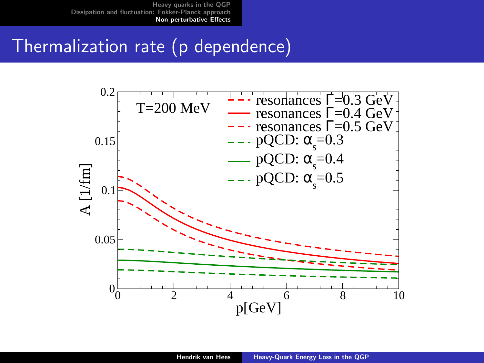## Thermalization rate (p dependence)